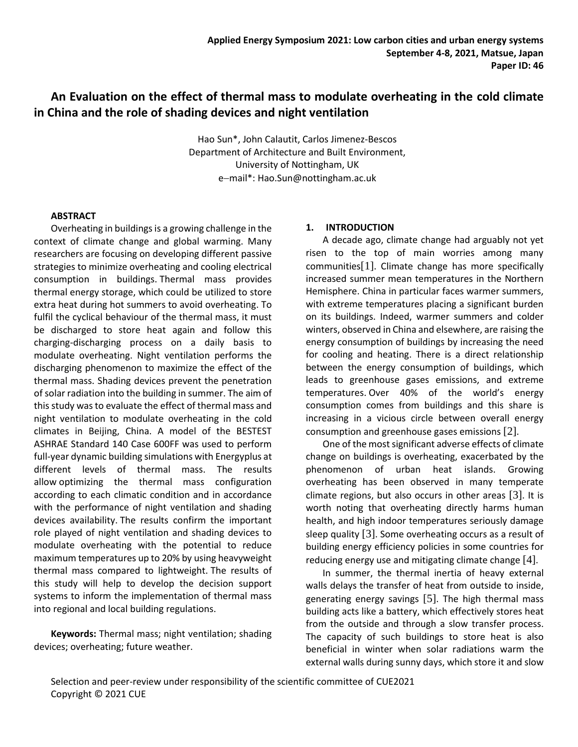# **An Evaluation on the effect of thermal mass to modulate overheating in the cold climate in China and the role of shading devices and night ventilation**

Hao Sun\*, John Calautit, Carlos Jimenez-Bescos Department of Architecture and Built Environment, University of Nottingham, UK e−mail\*: Hao.Sun@nottingham.ac.uk

#### **ABSTRACT**

Overheating in buildings is a growing challenge in the context of climate change and global warming. Many researchers are focusing on developing different passive strategies to minimize overheating and cooling electrical consumption in buildings. Thermal mass provides thermal energy storage, which could be utilized to store extra heat during hot summers to avoid overheating. To fulfil the cyclical behaviour of the thermal mass, it must be discharged to store heat again and follow this charging-discharging process on a daily basis to modulate overheating. Night ventilation performs the discharging phenomenon to maximize the effect of the thermal mass. Shading devices prevent the penetration of solar radiation into the building in summer. The aim of this study was to evaluate the effect of thermal mass and night ventilation to modulate overheating in the cold climates in Beijing, China. A model of the BESTEST ASHRAE Standard 140 Case 600FF was used to perform full-year dynamic building simulations with Energyplus at different levels of thermal mass. The results allow optimizing the thermal mass configuration according to each climatic condition and in accordance with the performance of night ventilation and shading devices availability. The results confirm the important role played of night ventilation and shading devices to modulate overheating with the potential to reduce maximum temperatures up to 20% by using heavyweight thermal mass compared to lightweight. The results of this study will help to develop the decision support systems to inform the implementation of thermal mass into regional and local building regulations.

**Keywords:** Thermal mass; night ventilation; shading devices; overheating; future weather.

#### **1. INTRODUCTION**

A decade ago, climate change had arguably not yet risen to the top of main worries among many communities[1]. Climate change has more specifically increased summer mean temperatures in the Northern Hemisphere. China in particular faces warmer summers, with extreme temperatures placing a significant burden on its buildings. Indeed, warmer summers and colder winters, observed in China and elsewhere, are raising the energy consumption of buildings by increasing the need for cooling and heating. There is a direct relationship between the energy consumption of buildings, which leads to greenhouse gases emissions, and extreme temperatures. Over 40% of the world's energy consumption comes from buildings and this share is increasing in a vicious circle between overall energy consumption and greenhouse gases emissions [2].

One of the most significant adverse effects of climate change on buildings is overheating, exacerbated by the phenomenon of urban heat islands. Growing overheating has been observed in many temperate climate regions, but also occurs in other areas [3]. It is worth noting that overheating directly harms human health, and high indoor temperatures seriously damage sleep quality [3]. Some overheating occurs as a result of building energy efficiency policies in some countries for reducing energy use and mitigating climate change [4].

In summer, the thermal inertia of heavy external walls delays the transfer of heat from outside to inside, generating energy savings [5]. The high thermal mass building acts like a battery, which effectively stores heat from the outside and through a slow transfer process. The capacity of such buildings to store heat is also beneficial in winter when solar radiations warm the external walls during sunny days, which store it and slow

Selection and peer-review under responsibility of the scientific committee of CUE2021 Copyright © 2021 CUE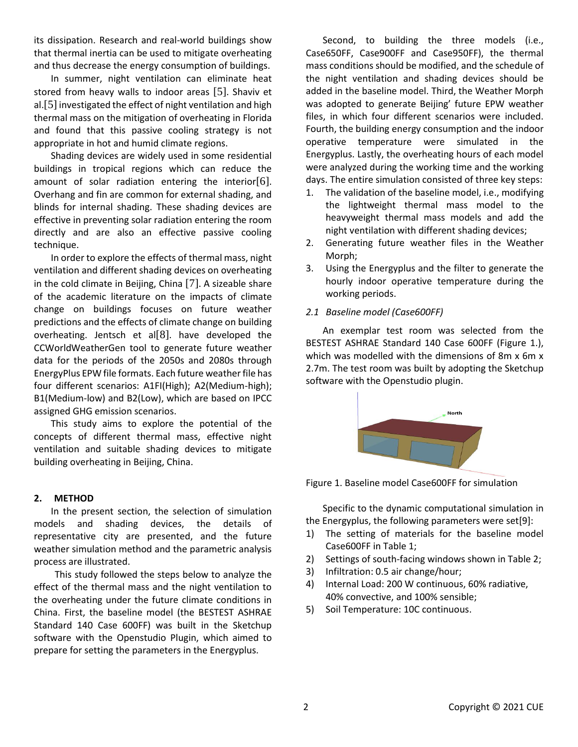its dissipation. Research and real-world buildings show that thermal inertia can be used to mitigate overheating and thus decrease the energy consumption of buildings.

In summer, night ventilation can eliminate heat stored from heavy walls to indoor areas [5]. Shaviv et al.<sup>[5]</sup> investigated the effect of night ventilation and high thermal mass on the mitigation of overheating in Florida and found that this passive cooling strategy is not appropriate in hot and humid climate regions.

Shading devices are widely used in some residential buildings in tropical regions which can reduce the amount of solar radiation entering the interior[6]. Overhang and fin are common for external shading, and blinds for internal shading. These shading devices are effective in preventing solar radiation entering the room directly and are also an effective passive cooling technique.

In order to explore the effects of thermal mass, night ventilation and different shading devices on overheating in the cold climate in Beijing, China [7]. A sizeable share of the academic literature on the impacts of climate change on buildings focuses on future weather predictions and the effects of climate change on building overheating. Jentsch et al[8]. have developed the CCWorldWeatherGen tool to generate future weather data for the periods of the 2050s and 2080s through EnergyPlus EPW file formats. Each future weather file has four different scenarios: A1FI(High); A2(Medium-high); B1(Medium-low) and B2(Low), which are based on IPCC assigned GHG emission scenarios.

This study aims to explore the potential of the concepts of different thermal mass, effective night ventilation and suitable shading devices to mitigate building overheating in Beijing, China.

#### **2. METHOD**

In the present section, the selection of simulation models and shading devices, the details of representative city are presented, and the future weather simulation method and the parametric analysis process are illustrated.

This study followed the steps below to analyze the effect of the thermal mass and the night ventilation to the overheating under the future climate conditions in China. First, the baseline model (the BESTEST ASHRAE Standard 140 Case 600FF) was built in the Sketchup software with the Openstudio Plugin, which aimed to prepare for setting the parameters in the Energyplus.

Second, to building the three models (i.e., Case650FF, Case900FF and Case950FF), the thermal mass conditions should be modified, and the schedule of the night ventilation and shading devices should be added in the baseline model. Third, the Weather Morph was adopted to generate Beijing' future EPW weather files, in which four different scenarios were included. Fourth, the building energy consumption and the indoor operative temperature were simulated in the Energyplus. Lastly, the overheating hours of each model were analyzed during the working time and the working days. The entire simulation consisted of three key steps:

- 1. The validation of the baseline model, i.e., modifying the lightweight thermal mass model to the heavyweight thermal mass models and add the night ventilation with different shading devices;
- 2. Generating future weather files in the Weather Morph:
- 3. Using the Energyplus and the filter to generate the hourly indoor operative temperature during the working periods.

## *2.1 Baseline model (Case600FF)*

An exemplar test room was selected from the BESTEST ASHRAE Standard 140 Case 600FF (Figure 1.), which was modelled with the dimensions of 8m x 6m x 2.7m. The test room was built by adopting the Sketchup software with the Openstudio plugin.



Figure 1. Baseline model Case600FF for simulation

Specific to the dynamic computational simulation in the Energyplus, the following parameters were set[9]:

- 1) The setting of materials for the baseline model Case600FF in Table 1;
- 2) Settings of south-facing windows shown in Table 2;
- 3) Infiltration: 0.5 air change/hour;
- 4) Internal Load: 200 W continuous, 60% radiative, 40% convective, and 100% sensible;
- 5) Soil Temperature: 10C continuous.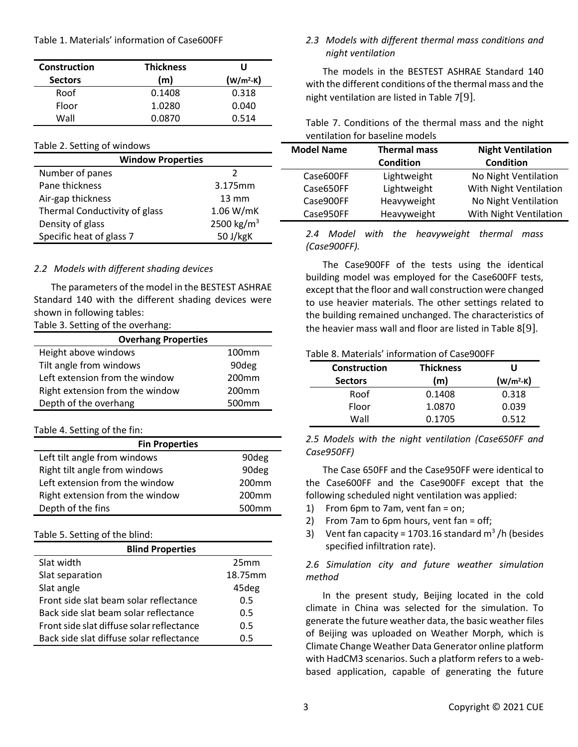Table 1. Materials' information of Case600FF

| Construction   | <b>Thickness</b> | U           |  |  |
|----------------|------------------|-------------|--|--|
| <b>Sectors</b> | (m)              | $(w/m^2-K)$ |  |  |
| Roof           | 0.1408           | 0.318       |  |  |
| Floor          | 1.0280           | 0.040       |  |  |
| Wall           | 0.0870           | 0.514       |  |  |

#### Table 2. Setting of windows

| <b>Window Properties</b>      |                        |  |  |  |  |  |
|-------------------------------|------------------------|--|--|--|--|--|
| Number of panes               | 2                      |  |  |  |  |  |
| Pane thickness                | 3.175mm                |  |  |  |  |  |
| Air-gap thickness             | $13 \text{ mm}$        |  |  |  |  |  |
| Thermal Conductivity of glass | 1.06 W/mK              |  |  |  |  |  |
| Density of glass              | 2500 kg/m <sup>3</sup> |  |  |  |  |  |
| Specific heat of glass 7      | 50 J/kgK               |  |  |  |  |  |
|                               |                        |  |  |  |  |  |

## *2.2 Models with different shading devices*

The parameters of the model in the BESTEST ASHRAE Standard 140 with the different shading devices were shown in following tables:

Table 3. Setting of the overhang:

| <b>Overhang Properties</b>      |                   |  |  |  |  |
|---------------------------------|-------------------|--|--|--|--|
| Height above windows            | 100 <sub>mm</sub> |  |  |  |  |
| Tilt angle from windows         | 90deg             |  |  |  |  |
| Left extension from the window  | 200 <sub>mm</sub> |  |  |  |  |
| Right extension from the window | 200 <sub>mm</sub> |  |  |  |  |
| Depth of the overhang           | 500 <sub>mm</sub> |  |  |  |  |

## Table 4. Setting of the fin:

| <b>Fin Properties</b>           |                   |
|---------------------------------|-------------------|
| Left tilt angle from windows    | 90deg             |
| Right tilt angle from windows   | 90deg             |
| Left extension from the window  | 200 <sub>mm</sub> |
| Right extension from the window | 200 <sub>mm</sub> |
| Depth of the fins               | 500 <sub>mm</sub> |

## Table 5. Setting of the blind:

| <b>Blind Properties</b>                   |                  |  |  |  |  |
|-------------------------------------------|------------------|--|--|--|--|
| Slat width                                | 25 <sub>mm</sub> |  |  |  |  |
| Slat separation                           | 18.75mm          |  |  |  |  |
| Slat angle                                | 45deg            |  |  |  |  |
| Front side slat beam solar reflectance    | 0.5              |  |  |  |  |
| Back side slat beam solar reflectance     | 0.5              |  |  |  |  |
| Front side slat diffuse solar reflectance | 0.5              |  |  |  |  |
| Back side slat diffuse solar reflectance  | 0.5              |  |  |  |  |

## *2.3 Models with different thermal mass conditions and night ventilation*

The models in the BESTEST ASHRAE Standard 140 with the different conditions of the thermal mass and the night ventilation are listed in Table 7[9].

| Table 7. Conditions of the thermal mass and the night |  |  |  |
|-------------------------------------------------------|--|--|--|
| ventilation for baseline models                       |  |  |  |

| <b>Thermal mass</b> | <b>Night Ventilation</b> |  |  |
|---------------------|--------------------------|--|--|
| <b>Condition</b>    | <b>Condition</b>         |  |  |
| Lightweight         | No Night Ventilation     |  |  |
| Lightweight         | With Night Ventilation   |  |  |
| Heavyweight         | No Night Ventilation     |  |  |
| Heavyweight         | With Night Ventilation   |  |  |
|                     |                          |  |  |

#### *2.4 Model with the heavyweight thermal mass (Case900FF).*

The Case900FF of the tests using the identical building model was employed for the Case600FF tests, except that the floor and wall construction were changed to use heavier materials. The other settings related to the building remained unchanged. The characteristics of the heavier mass wall and floor are listed in Table 8[9].

## Table 8. Materials' information of Case900FF

| Construction   | <b>Thickness</b> | U           |  |  |
|----------------|------------------|-------------|--|--|
| <b>Sectors</b> | (m)              | $(w/m^2-K)$ |  |  |
| Roof           | 0.1408           | 0.318       |  |  |
| Floor          | 1.0870           | 0.039       |  |  |
| Wall           | 0.1705           | 0.512       |  |  |

*2.5 Models with the night ventilation (Case650FF and Case950FF)*

The Case 650FF and the Case950FF were identical to the Case600FF and the Case900FF except that the following scheduled night ventilation was applied:

- 1) From 6pm to 7am, vent fan = on;
- 2) From 7am to 6pm hours, vent fan = off;
- 3) Vent fan capacity = 1703.16 standard  $m^3/h$  (besides specified infiltration rate).

## *2.6 Simulation city and future weather simulation method*

In the present study, Beijing located in the cold climate in China was selected for the simulation. To generate the future weather data, the basic weather files of Beijing was uploaded on Weather Morph, which is Climate Change Weather Data Generator online platform with HadCM3 scenarios. Such a platform refers to a webbased application, capable of generating the future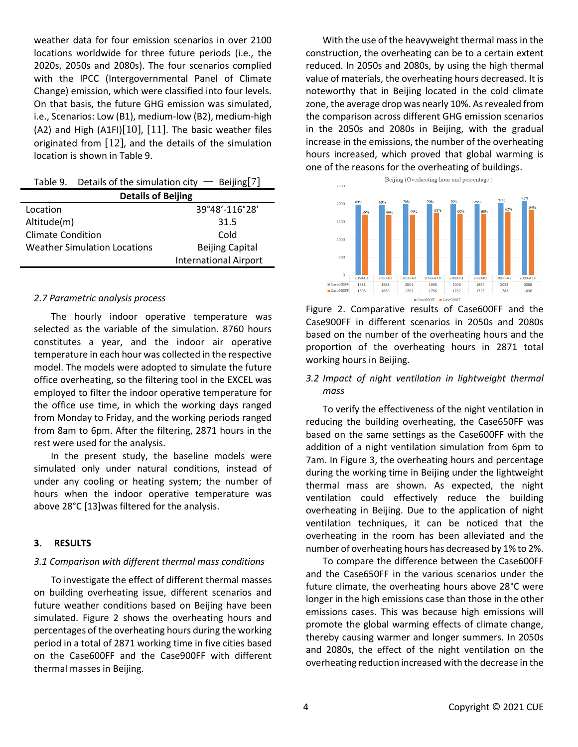weather data for four emission scenarios in over 2100 locations worldwide for three future periods (i.e., the 2020s, 2050s and 2080s). The four scenarios complied with the IPCC (Intergovernmental Panel of Climate Change) emission, which were classified into four levels. On that basis, the future GHG emission was simulated, i.e., Scenarios: Low (B1), medium-low (B2), medium-high (A2) and High (A1FI) $[10]$ ,  $[11]$ . The basic weather files originated from [12], and the details of the simulation location is shown in Table 9.

|                                     | Table 9. Details of the simulation city $-$ Beijing [7] |  |  |  |
|-------------------------------------|---------------------------------------------------------|--|--|--|
| <b>Details of Beijing</b>           |                                                         |  |  |  |
| Location                            | 39°48'-116°28'                                          |  |  |  |
| Altitude(m)                         | 31.5                                                    |  |  |  |
| <b>Climate Condition</b><br>Cold    |                                                         |  |  |  |
| <b>Weather Simulation Locations</b> | <b>Beijing Capital</b>                                  |  |  |  |
|                                     | <b>International Airport</b>                            |  |  |  |

#### *2.7 Parametric analysis process*

The hourly indoor operative temperature was selected as the variable of the simulation. 8760 hours constitutes a year, and the indoor air operative temperature in each hour was collected in the respective model. The models were adopted to simulate the future office overheating, so the filtering tool in the EXCEL was employed to filter the indoor operative temperature for the office use time, in which the working days ranged from Monday to Friday, and the working periods ranged from 8am to 6pm. After the filtering, 2871 hours in the rest were used for the analysis.

In the present study, the baseline models were simulated only under natural conditions, instead of under any cooling or heating system; the number of hours when the indoor operative temperature was above 28°C [13]was filtered for the analysis.

#### **3. RESULTS**

#### *3.1 Comparison with different thermal mass conditions*

To investigate the effect of different thermal masses on building overheating issue, different scenarios and future weather conditions based on Beijing have been simulated. Figure 2 shows the overheating hours and percentages of the overheating hours during the working period in a total of 2871 working time in five cities based on the Case600FF and the Case900FF with different thermal masses in Beijing.

With the use of the heavyweight thermal mass in the construction, the overheating can be to a certain extent reduced. In 2050s and 2080s, by using the high thermal value of materials, the overheating hours decreased. It is noteworthy that in Beijing located in the cold climate zone, the average drop was nearly 10%. As revealed from the comparison across different GHG emission scenarios in the 2050s and 2080s in Beijing, with the gradual increase in the emissions, the number of the overheating hours increased, which proved that global warming is one of the reasons for the overheating of buildings.



Figure 2. Comparative results of Case600FF and the Case900FF in different scenarios in 2050s and 2080s based on the number of the overheating hours and the proportion of the overheating hours in 2871 total working hours in Beijing.

## *3.2 Impact of night ventilation in lightweight thermal mass*

To verify the effectiveness of the night ventilation in reducing the building overheating, the Case650FF was based on the same settings as the Case600FF with the addition of a night ventilation simulation from 6pm to 7am. In Figure 3, the overheating hours and percentage during the working time in Beijing under the lightweight thermal mass are shown. As expected, the night ventilation could effectively reduce the building overheating in Beijing. Due to the application of night ventilation techniques, it can be noticed that the overheating in the room has been alleviated and the number of overheating hours has decreased by 1% to 2%.

To compare the difference between the Case600FF and the Case650FF in the various scenarios under the future climate, the overheating hours above 28°C were longer in the high emissions case than those in the other emissions cases. This was because high emissions will promote the global warming effects of climate change, thereby causing warmer and longer summers. In 2050s and 2080s, the effect of the night ventilation on the overheating reduction increased with the decrease in the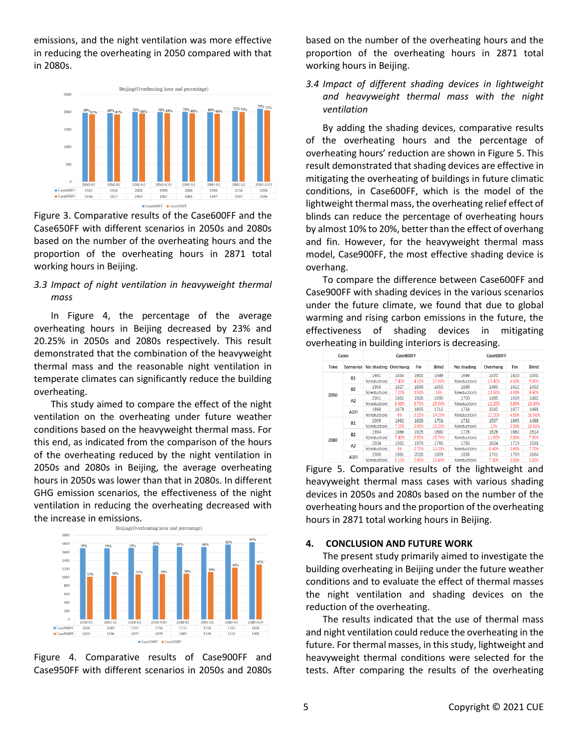emissions, and the night ventilation was more effective in reducing the overheating in 2050 compared with that in 2080s.



Figure 3. Comparative results of the Case600FF and the Case650FF with different scenarios in 2050s and 2080s based on the number of the overheating hours and the proportion of the overheating hours in 2871 total working hours in Beijing.

## *3.3 Impact of night ventilation in heavyweight thermal mass*

In Figure 4, the percentage of the average overheating hours in Beijing decreased by 23% and 20.25% in 2050s and 2080s respectively. This result demonstrated that the combination of the heavyweight thermal mass and the reasonable night ventilation in temperate climates can significantly reduce the building overheating.

This study aimed to compare the effect of the night ventilation on the overheating under future weather conditions based on the heavyweight thermal mass. For this end, as indicated from the comparison of the hours of the overheating reduced by the night ventilation in 2050s and 2080s in Beijing, the average overheating hours in 2050s was lower than that in 2080s. In different GHG emission scenarios, the effectiveness of the night ventilation in reducing the overheating decreased with the increase in emissions.<br>Beijing(Overheating hour and percentage)



Figure 4. Comparative results of Case900FF and Case950FF with different scenarios in 2050s and 2080s

based on the number of the overheating hours and the proportion of the overheating hours in 2871 total working hours in Beijing.

*3.4 Impact of different shading devices in lightweight and heavyweight thermal mass with the night ventilation*

By adding the shading devices, comparative results of the overheating hours and the percentage of overheating hours' reduction are shown in Figure 5. This result demonstrated that shading devices are effective in mitigating the overheating of buildings in future climatic conditions, in Case600FF, which is the model of the lightweight thermal mass, the overheating relief effect of blinds can reduce the percentage of overheating hours by almost 10% to 20%, better than the effect of overhang and fin. However, for the heavyweight thermal mass model, Case900FF, the most effective shading device is overhang.

To compare the difference between Case600FF and Case900FF with shading devices in the various scenarios under the future climate, we found that due to global warming and rising carbon emissions in the future, the effectiveness of shading devices in mitigating overheating in building interiors is decreasing.

|      | Cases             |                               | Case600FF |       |              | Case900FF    |          |       |              |
|------|-------------------|-------------------------------|-----------|-------|--------------|--------------|----------|-------|--------------|
| Time |                   | Scenarios No shading Overhang |           | Fin   | <b>Blind</b> | No shading   | Overhang | Fin   | <b>Blind</b> |
|      |                   | 1981                          | 1834      | 1900  | 1649         | 1698         | 1470     | 1620  | 1450         |
|      | <b>B1</b>         | %(reduction)                  | 7,40%     | 4.10% | 17.80%       | %(reduction) | 13.40%   | 4.60% | 9.90%        |
|      | <b>B2</b>         | 1968                          | 1827      | 1899  | 1653         | 1689         | 1460     | 1612  | 1453         |
|      |                   | %(reduction)                  | 7.20%     | 3.50% | 16%          | %(reduction) | 13.60%   | 4.60% | 9.90%        |
| 2050 |                   | 2001                          | 1862      | 1926  | 1690         | 1703         | 1495     | 1639  | 1482         |
|      | A2                | %(reduction)                  | 6.90%     | 3.70% | 15.50%       | %(reduction) | 12.20%   | 3.80% | 10.30%       |
|      |                   | 1998                          | 1879      | 1935  | 1715         | 1756         | 1542     | 1677  | 1491         |
|      | A <sub>1FI</sub>  | %(reduction)                  | 6%        | 3.20% | 14.20%       | %(reduction) | 12.20%   | 4.50% | 10.50%       |
|      |                   | 2006                          | 1862      | 1928  | 1701         | 1732         | 1507     | 1665  | 1488         |
|      | <b>B1</b>         | %(reduction)                  | 7.20%     | 3.90% | 15.20%       | %(reduction) | 13%      | 3.90% | 10.60%       |
|      | <b>B2</b>         | 1994                          | 1866      | 1925  | 1680         | 1726         | 1526     | 1660  | 1514         |
|      |                   | %(reduction)                  | 7,40%     | 3.50% | 15.70%       | %(reduction) | 11.60%   | 3.80% | 7.90%        |
| 2080 | A2                | 2034                          | 1932      | 1979  | 1766         | 1783         | 1634     | 1719  | 1591         |
|      |                   | %(reduction)                  | 5%        | 2.70% | 13.20%       | %(reduction) | 8.40%    | 3.60% | 7.70%        |
|      |                   | 2088                          | 1981      | 2028  | 1809         | 1838         | 1701     | 1769  | 1664         |
|      | A <sub>1</sub> FI | %(reduction)                  | 510%      | 290%  | 13.40%       | %(reduction) | 7.50%    | 380%  | 5.80%        |

Figure 5. Comparative results of the lightweight and heavyweight thermal mass cases with various shading devices in 2050s and 2080s based on the number of the overheating hours and the proportion of the overheating hours in 2871 total working hours in Beijing.

#### **4. CONCLUSION AND FUTURE WORK**

The present study primarily aimed to investigate the building overheating in Beijing under the future weather conditions and to evaluate the effect of thermal masses the night ventilation and shading devices on the reduction of the overheating.

The results indicated that the use of thermal mass and night ventilation could reduce the overheating in the future. For thermal masses, in this study, lightweight and heavyweight thermal conditions were selected for the tests. After comparing the results of the overheating